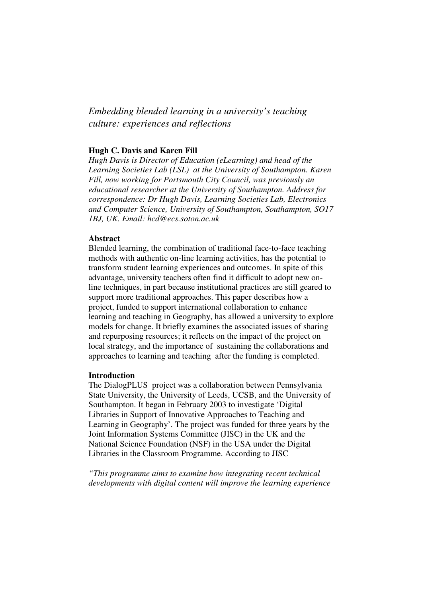*Embedding blended learning in a university's teaching culture: experiences and reflections* 

# **Hugh C. Davis and Karen Fill**

*Hugh Davis is Director of Education (eLearning) and head of the Learning Societies Lab (LSL) at the University of Southampton. Karen Fill, now working for Portsmouth City Council, was previously an educational researcher at the University of Southampton. Address for correspondence: Dr Hugh Davis, Learning Societies Lab, Electronics and Computer Science, University of Southampton, Southampton, SO17 1BJ, UK. Email: hcd@ecs.soton.ac.uk* 

# **Abstract**

Blended learning, the combination of traditional face-to-face teaching methods with authentic on-line learning activities, has the potential to transform student learning experiences and outcomes. In spite of this advantage, university teachers often find it difficult to adopt new online techniques, in part because institutional practices are still geared to support more traditional approaches. This paper describes how a project, funded to support international collaboration to enhance learning and teaching in Geography, has allowed a university to explore models for change. It briefly examines the associated issues of sharing and repurposing resources; it reflects on the impact of the project on local strategy, and the importance of sustaining the collaborations and approaches to learning and teaching after the funding is completed.

# **Introduction**

The DialogPLUS project was a collaboration between Pennsylvania State University, the University of Leeds, UCSB, and the University of Southampton. It began in February 2003 to investigate 'Digital Libraries in Support of Innovative Approaches to Teaching and Learning in Geography'. The project was funded for three years by the Joint Information Systems Committee (JISC) in the UK and the National Science Foundation (NSF) in the USA under the Digital Libraries in the Classroom Programme. According to JISC

*"This programme aims to examine how integrating recent technical developments with digital content will improve the learning experience*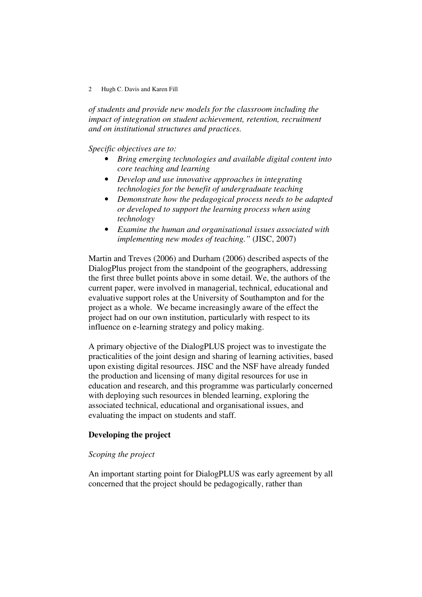*of students and provide new models for the classroom including the impact of integration on student achievement, retention, recruitment and on institutional structures and practices.* 

*Specific objectives are to:* 

- • *Bring emerging technologies and available digital content into core teaching and learning*
- • *Develop and use innovative approaches in integrating technologies for the benefit of undergraduate teaching*
- • *Demonstrate how the pedagogical process needs to be adapted or developed to support the learning process when using technology*
- • *Examine the human and organisational issues associated with implementing new modes of teaching."* (JISC, 2007)

Martin and Treves (2006) and Durham (2006) described aspects of the DialogPlus project from the standpoint of the geographers, addressing the first three bullet points above in some detail. We, the authors of the current paper, were involved in managerial, technical, educational and evaluative support roles at the University of Southampton and for the project as a whole. We became increasingly aware of the effect the project had on our own institution, particularly with respect to its influence on e-learning strategy and policy making.

A primary objective of the DialogPLUS project was to investigate the practicalities of the joint design and sharing of learning activities, based upon existing digital resources. JISC and the NSF have already funded the production and licensing of many digital resources for use in education and research, and this programme was particularly concerned with deploying such resources in blended learning, exploring the associated technical, educational and organisational issues, and evaluating the impact on students and staff.

# **Developing the project**

# *Scoping the project*

An important starting point for DialogPLUS was early agreement by all concerned that the project should be pedagogically, rather than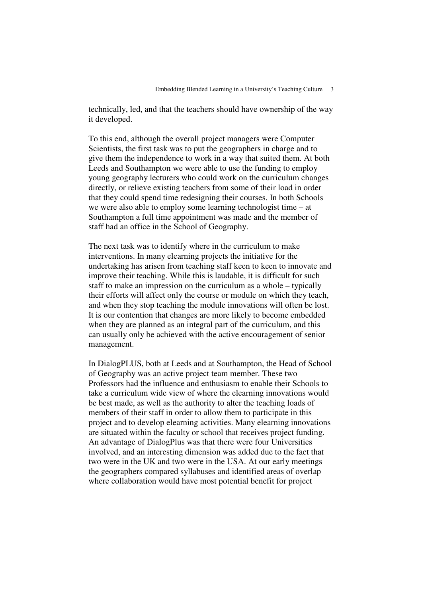technically, led, and that the teachers should have ownership of the way it developed.

To this end, although the overall project managers were Computer Scientists, the first task was to put the geographers in charge and to give them the independence to work in a way that suited them. At both Leeds and Southampton we were able to use the funding to employ young geography lecturers who could work on the curriculum changes directly, or relieve existing teachers from some of their load in order that they could spend time redesigning their courses. In both Schools we were also able to employ some learning technologist time – at Southampton a full time appointment was made and the member of staff had an office in the School of Geography.

The next task was to identify where in the curriculum to make interventions. In many elearning projects the initiative for the undertaking has arisen from teaching staff keen to keen to innovate and improve their teaching. While this is laudable, it is difficult for such staff to make an impression on the curriculum as a whole – typically their efforts will affect only the course or module on which they teach, and when they stop teaching the module innovations will often be lost. It is our contention that changes are more likely to become embedded when they are planned as an integral part of the curriculum, and this can usually only be achieved with the active encouragement of senior management.

In DialogPLUS, both at Leeds and at Southampton, the Head of School of Geography was an active project team member. These two Professors had the influence and enthusiasm to enable their Schools to take a curriculum wide view of where the elearning innovations would be best made, as well as the authority to alter the teaching loads of members of their staff in order to allow them to participate in this project and to develop elearning activities. Many elearning innovations are situated within the faculty or school that receives project funding. An advantage of DialogPlus was that there were four Universities involved, and an interesting dimension was added due to the fact that two were in the UK and two were in the USA. At our early meetings the geographers compared syllabuses and identified areas of overlap where collaboration would have most potential benefit for project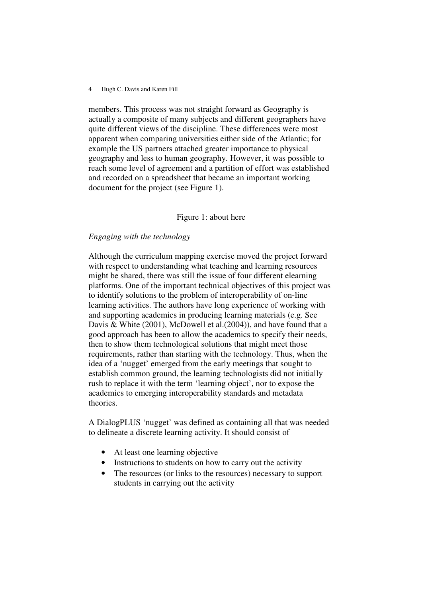members. This process was not straight forward as Geography is actually a composite of many subjects and different geographers have quite different views of the discipline. These differences were most apparent when comparing universities either side of the Atlantic; for example the US partners attached greater importance to physical geography and less to human geography. However, it was possible to reach some level of agreement and a partition of effort was established and recorded on a spreadsheet that became an important working document for the project (see Figure 1).

# Figure 1: about here

# *Engaging with the technology*

Although the curriculum mapping exercise moved the project forward with respect to understanding what teaching and learning resources might be shared, there was still the issue of four different elearning platforms. One of the important technical objectives of this project was to identify solutions to the problem of interoperability of on-line learning activities. The authors have long experience of working with and supporting academics in producing learning materials (e.g. See Davis & White (2001), McDowell et al.(2004)), and have found that a good approach has been to allow the academics to specify their needs, then to show them technological solutions that might meet those requirements, rather than starting with the technology. Thus, when the idea of a 'nugget' emerged from the early meetings that sought to establish common ground, the learning technologists did not initially rush to replace it with the term 'learning object', nor to expose the academics to emerging interoperability standards and metadata theories.

A DialogPLUS 'nugget' was defined as containing all that was needed to delineate a discrete learning activity. It should consist of

- At least one learning objective
- Instructions to students on how to carry out the activity
- The resources (or links to the resources) necessary to support students in carrying out the activity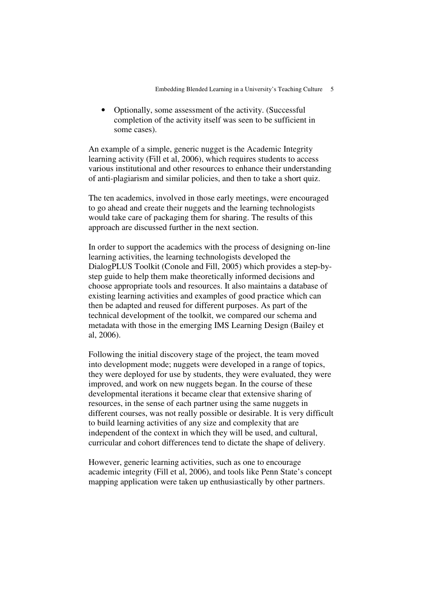• Optionally, some assessment of the activity. (Successful completion of the activity itself was seen to be sufficient in some cases).

An example of a simple, generic nugget is the Academic Integrity learning activity (Fill et al, 2006), which requires students to access various institutional and other resources to enhance their understanding of anti-plagiarism and similar policies, and then to take a short quiz.

The ten academics, involved in those early meetings, were encouraged to go ahead and create their nuggets and the learning technologists would take care of packaging them for sharing. The results of this approach are discussed further in the next section.

In order to support the academics with the process of designing on-line learning activities, the learning technologists developed the DialogPLUS Toolkit (Conole and Fill, 2005) which provides a step-bystep guide to help them make theoretically informed decisions and choose appropriate tools and resources. It also maintains a database of existing learning activities and examples of good practice which can then be adapted and reused for different purposes. As part of the technical development of the toolkit, we compared our schema and metadata with those in the emerging IMS Learning Design (Bailey et al, 2006).

Following the initial discovery stage of the project, the team moved into development mode; nuggets were developed in a range of topics, they were deployed for use by students, they were evaluated, they were improved, and work on new nuggets began. In the course of these developmental iterations it became clear that extensive sharing of resources, in the sense of each partner using the same nuggets in different courses, was not really possible or desirable. It is very difficult to build learning activities of any size and complexity that are independent of the context in which they will be used, and cultural, curricular and cohort differences tend to dictate the shape of delivery.

However, generic learning activities, such as one to encourage academic integrity (Fill et al, 2006), and tools like Penn State's concept mapping application were taken up enthusiastically by other partners.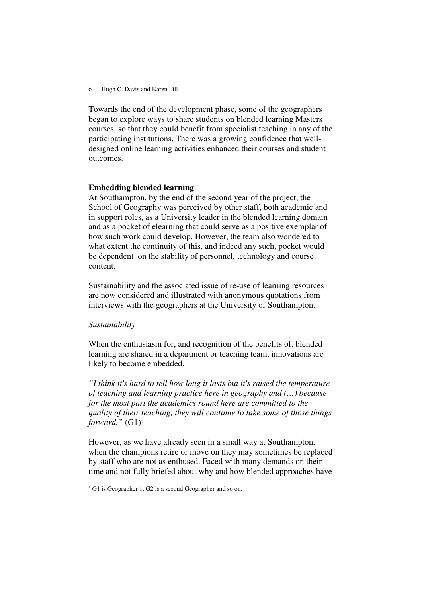Towards the end of the development phase, some of the geographers began to explore ways to share students on blended learning Masters courses, so that they could benefit from specialist teaching in any of the participating institutions. There was a growing confidence that welldesigned online learning activities enhanced their courses and student outcomes.

## **Embedding blended learning**

At Southampton, by the end of the second year of the project, the School of Geography was perceived by other staff, both academic and in support roles, as a University leader in the blended learning domain and as a pocket of elearning that could serve as a positive exemplar of how such work could develop. However, the team also wondered to what extent the continuity of this, and indeed any such, pocket would be dependent on the stability of personnel, technology and course content.

Sustainability and the associated issue of re-use of learning resources are now considered and illustrated with anonymous quotations from interviews with the geographers at the University of Southampton.

#### *Sustainability*

 $\overline{a}$ 

When the enthusiasm for, and recognition of the benefits of, blended learning are shared in a department or teaching team, innovations are likely to become embedded.

*"I think it's hard to tell how long it lasts but it's raised the temperature of teaching and learning practice here in geography and (…) because for the most part the academics round here are committed to the quality of their teaching, they will continue to take some of those things forward."* (G1)<sup>1</sup>

However, as we have already seen in a small way at Southampton, when the champions retire or move on they may sometimes be replaced by staff who are not as enthused. Faced with many demands on their time and not fully briefed about why and how blended approaches have

<sup>&</sup>lt;sup>1</sup> G1 is Geographer 1, G2 is a second Geographer and so on.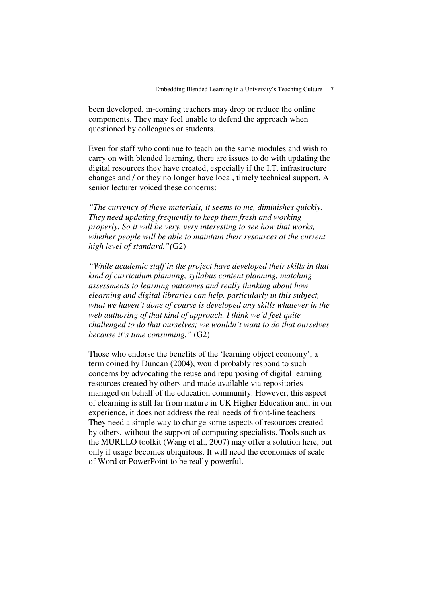been developed, in-coming teachers may drop or reduce the online components. They may feel unable to defend the approach when questioned by colleagues or students.

Even for staff who continue to teach on the same modules and wish to carry on with blended learning, there are issues to do with updating the digital resources they have created, especially if the I.T. infrastructure changes and / or they no longer have local, timely technical support. A senior lecturer voiced these concerns:

*"The currency of these materials, it seems to me, diminishes quickly. They need updating frequently to keep them fresh and working properly. So it will be very, very interesting to see how that works, whether people will be able to maintain their resources at the current high level of standard."(*G2)

*"While academic staff in the project have developed their skills in that kind of curriculum planning, syllabus content planning, matching assessments to learning outcomes and really thinking about how elearning and digital libraries can help, particularly in this subject, what we haven't done of course is developed any skills whatever in the web authoring of that kind of approach. I think we'd feel quite challenged to do that ourselves; we wouldn't want to do that ourselves because it's time consuming."* (G2)

Those who endorse the benefits of the 'learning object economy', a term coined by Duncan (2004), would probably respond to such concerns by advocating the reuse and repurposing of digital learning resources created by others and made available via repositories managed on behalf of the education community. However, this aspect of elearning is still far from mature in UK Higher Education and, in our experience, it does not address the real needs of front-line teachers. They need a simple way to change some aspects of resources created by others, without the support of computing specialists. Tools such as the MURLLO toolkit (Wang et al., 2007) may offer a solution here, but only if usage becomes ubiquitous. It will need the economies of scale of Word or PowerPoint to be really powerful.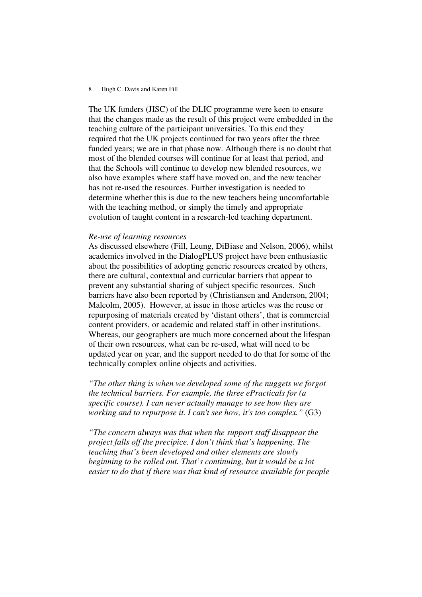The UK funders (JISC) of the DLIC programme were keen to ensure that the changes made as the result of this project were embedded in the teaching culture of the participant universities. To this end they required that the UK projects continued for two years after the three funded years; we are in that phase now. Although there is no doubt that most of the blended courses will continue for at least that period, and that the Schools will continue to develop new blended resources, we also have examples where staff have moved on, and the new teacher has not re-used the resources. Further investigation is needed to determine whether this is due to the new teachers being uncomfortable with the teaching method, or simply the timely and appropriate evolution of taught content in a research-led teaching department.

#### *Re-use of learning resources*

As discussed elsewhere (Fill, Leung, DiBiase and Nelson, 2006), whilst academics involved in the DialogPLUS project have been enthusiastic about the possibilities of adopting generic resources created by others, there are cultural, contextual and curricular barriers that appear to prevent any substantial sharing of subject specific resources. Such barriers have also been reported by (Christiansen and Anderson, 2004; Malcolm, 2005). However, at issue in those articles was the reuse or repurposing of materials created by 'distant others', that is commercial content providers, or academic and related staff in other institutions. Whereas, our geographers are much more concerned about the lifespan of their own resources, what can be re-used, what will need to be updated year on year, and the support needed to do that for some of the technically complex online objects and activities.

*"The other thing is when we developed some of the nuggets we forgot the technical barriers. For example, the three ePracticals for (a specific course). I can never actually manage to see how they are working and to repurpose it. I can't see how, it's too complex."* (G3)

*"The concern always was that when the support staff disappear the project falls off the precipice. I don't think that's happening. The teaching that's been developed and other elements are slowly beginning to be rolled out. That's continuing, but it would be a lot easier to do that if there was that kind of resource available for people*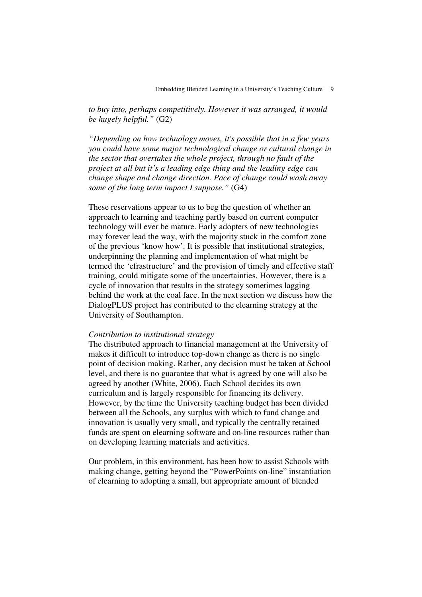*to buy into, perhaps competitively. However it was arranged, it would be hugely helpful."* (G2)

*"Depending on how technology moves, it's possible that in a few years you could have some major technological change or cultural change in the sector that overtakes the whole project, through no fault of the project at all but it's a leading edge thing and the leading edge can change shape and change direction. Pace of change could wash away some of the long term impact I suppose."* (G4)

These reservations appear to us to beg the question of whether an approach to learning and teaching partly based on current computer technology will ever be mature. Early adopters of new technologies may forever lead the way, with the majority stuck in the comfort zone of the previous 'know how'. It is possible that institutional strategies, underpinning the planning and implementation of what might be termed the 'efrastructure' and the provision of timely and effective staff training, could mitigate some of the uncertainties. However, there is a cycle of innovation that results in the strategy sometimes lagging behind the work at the coal face. In the next section we discuss how the DialogPLUS project has contributed to the elearning strategy at the University of Southampton.

### *Contribution to institutional strategy*

The distributed approach to financial management at the University of makes it difficult to introduce top-down change as there is no single point of decision making. Rather, any decision must be taken at School level, and there is no guarantee that what is agreed by one will also be agreed by another (White, 2006). Each School decides its own curriculum and is largely responsible for financing its delivery. However, by the time the University teaching budget has been divided between all the Schools, any surplus with which to fund change and innovation is usually very small, and typically the centrally retained funds are spent on elearning software and on-line resources rather than on developing learning materials and activities.

Our problem, in this environment, has been how to assist Schools with making change, getting beyond the "PowerPoints on-line" instantiation of elearning to adopting a small, but appropriate amount of blended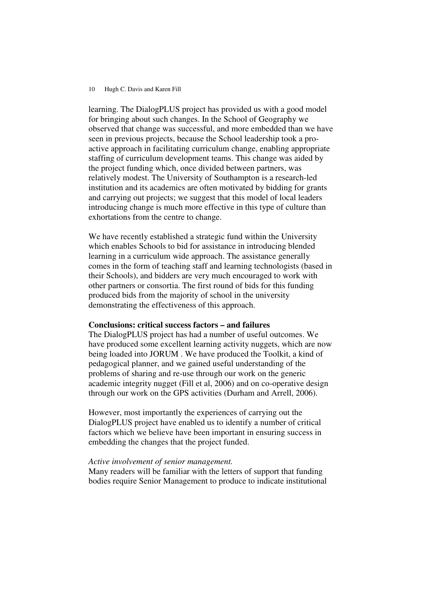learning. The DialogPLUS project has provided us with a good model for bringing about such changes. In the School of Geography we observed that change was successful, and more embedded than we have seen in previous projects, because the School leadership took a proactive approach in facilitating curriculum change, enabling appropriate staffing of curriculum development teams. This change was aided by the project funding which, once divided between partners, was relatively modest. The University of Southampton is a research-led institution and its academics are often motivated by bidding for grants and carrying out projects; we suggest that this model of local leaders introducing change is much more effective in this type of culture than exhortations from the centre to change.

We have recently established a strategic fund within the University which enables Schools to bid for assistance in introducing blended learning in a curriculum wide approach. The assistance generally comes in the form of teaching staff and learning technologists (based in their Schools), and bidders are very much encouraged to work with other partners or consortia. The first round of bids for this funding produced bids from the majority of school in the university demonstrating the effectiveness of this approach.

## **Conclusions: critical success factors – and failures**

The DialogPLUS project has had a number of useful outcomes. We have produced some excellent learning activity nuggets, which are now being loaded into JORUM . We have produced the Toolkit, a kind of pedagogical planner, and we gained useful understanding of the problems of sharing and re-use through our work on the generic academic integrity nugget (Fill et al, 2006) and on co-operative design through our work on the GPS activities (Durham and Arrell, 2006).

However, most importantly the experiences of carrying out the DialogPLUS project have enabled us to identify a number of critical factors which we believe have been important in ensuring success in embedding the changes that the project funded.

# *Active involvement of senior management.*

Many readers will be familiar with the letters of support that funding bodies require Senior Management to produce to indicate institutional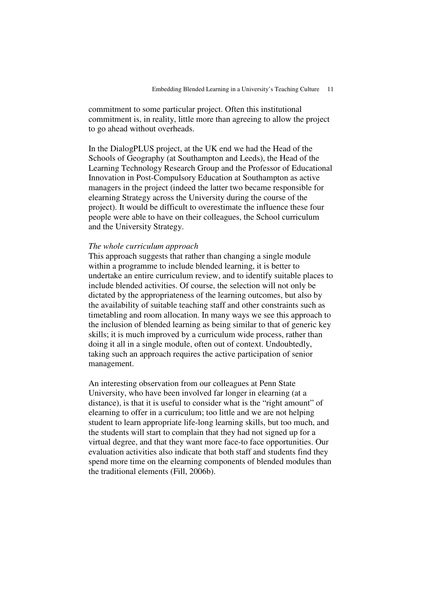commitment to some particular project. Often this institutional commitment is, in reality, little more than agreeing to allow the project to go ahead without overheads.

In the DialogPLUS project, at the UK end we had the Head of the Schools of Geography (at Southampton and Leeds), the Head of the Learning Technology Research Group and the Professor of Educational Innovation in Post-Compulsory Education at Southampton as active managers in the project (indeed the latter two became responsible for elearning Strategy across the University during the course of the project). It would be difficult to overestimate the influence these four people were able to have on their colleagues, the School curriculum and the University Strategy.

# *The whole curriculum approach*

This approach suggests that rather than changing a single module within a programme to include blended learning, it is better to undertake an entire curriculum review, and to identify suitable places to include blended activities. Of course, the selection will not only be dictated by the appropriateness of the learning outcomes, but also by the availability of suitable teaching staff and other constraints such as timetabling and room allocation. In many ways we see this approach to the inclusion of blended learning as being similar to that of generic key skills; it is much improved by a curriculum wide process, rather than doing it all in a single module, often out of context. Undoubtedly, taking such an approach requires the active participation of senior management.

An interesting observation from our colleagues at Penn State University, who have been involved far longer in elearning (at a distance), is that it is useful to consider what is the "right amount" of elearning to offer in a curriculum; too little and we are not helping student to learn appropriate life-long learning skills, but too much, and the students will start to complain that they had not signed up for a virtual degree, and that they want more face-to face opportunities. Our evaluation activities also indicate that both staff and students find they spend more time on the elearning components of blended modules than the traditional elements (Fill, 2006b).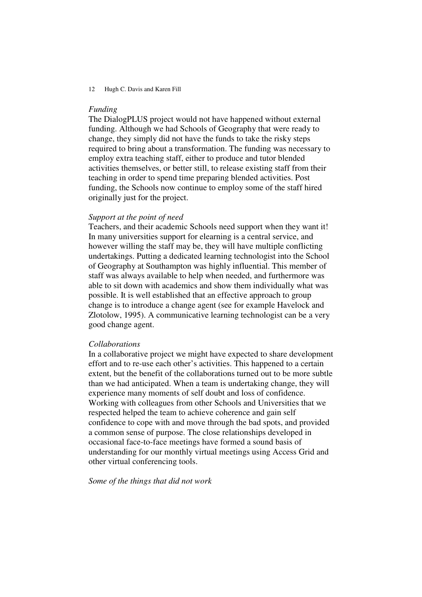#### *Funding*

The DialogPLUS project would not have happened without external funding. Although we had Schools of Geography that were ready to change, they simply did not have the funds to take the risky steps required to bring about a transformation. The funding was necessary to employ extra teaching staff, either to produce and tutor blended activities themselves, or better still, to release existing staff from their teaching in order to spend time preparing blended activities. Post funding, the Schools now continue to employ some of the staff hired originally just for the project.

#### *Support at the point of need*

Teachers, and their academic Schools need support when they want it! In many universities support for elearning is a central service, and however willing the staff may be, they will have multiple conflicting undertakings. Putting a dedicated learning technologist into the School of Geography at Southampton was highly influential. This member of staff was always available to help when needed, and furthermore was able to sit down with academics and show them individually what was possible. It is well established that an effective approach to group change is to introduce a change agent (see for example Havelock and Zlotolow, 1995). A communicative learning technologist can be a very good change agent.

# *Collaborations*

In a collaborative project we might have expected to share development effort and to re-use each other's activities. This happened to a certain extent, but the benefit of the collaborations turned out to be more subtle than we had anticipated. When a team is undertaking change, they will experience many moments of self doubt and loss of confidence. Working with colleagues from other Schools and Universities that we respected helped the team to achieve coherence and gain self confidence to cope with and move through the bad spots, and provided a common sense of purpose. The close relationships developed in occasional face-to-face meetings have formed a sound basis of understanding for our monthly virtual meetings using Access Grid and other virtual conferencing tools.

*Some of the things that did not work*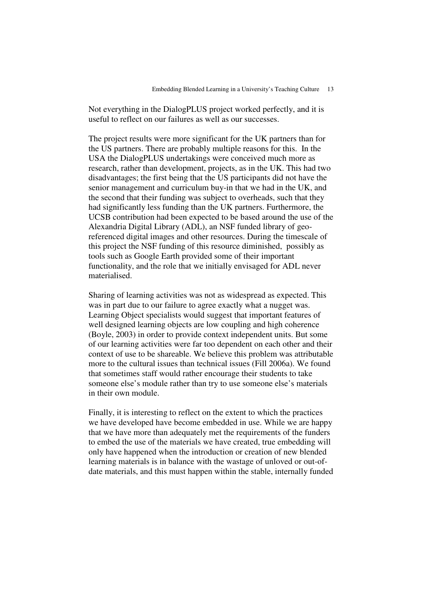Not everything in the DialogPLUS project worked perfectly, and it is useful to reflect on our failures as well as our successes.

The project results were more significant for the UK partners than for the US partners. There are probably multiple reasons for this. In the USA the DialogPLUS undertakings were conceived much more as research, rather than development, projects, as in the UK. This had two disadvantages; the first being that the US participants did not have the senior management and curriculum buy-in that we had in the UK, and the second that their funding was subject to overheads, such that they had significantly less funding than the UK partners. Furthermore, the UCSB contribution had been expected to be based around the use of the Alexandria Digital Library (ADL), an NSF funded library of georeferenced digital images and other resources. During the timescale of this project the NSF funding of this resource diminished, possibly as tools such as Google Earth provided some of their important functionality, and the role that we initially envisaged for ADL never materialised.

Sharing of learning activities was not as widespread as expected. This was in part due to our failure to agree exactly what a nugget was. Learning Object specialists would suggest that important features of well designed learning objects are low coupling and high coherence (Boyle, 2003) in order to provide context independent units. But some of our learning activities were far too dependent on each other and their context of use to be shareable. We believe this problem was attributable more to the cultural issues than technical issues (Fill 2006a). We found that sometimes staff would rather encourage their students to take someone else's module rather than try to use someone else's materials in their own module.

Finally, it is interesting to reflect on the extent to which the practices we have developed have become embedded in use. While we are happy that we have more than adequately met the requirements of the funders to embed the use of the materials we have created, true embedding will only have happened when the introduction or creation of new blended learning materials is in balance with the wastage of unloved or out-ofdate materials, and this must happen within the stable, internally funded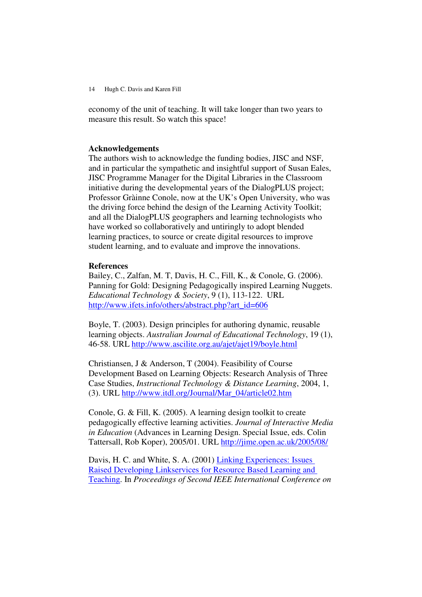economy of the unit of teaching. It will take longer than two years to measure this result. So watch this space!

## **Acknowledgements**

The authors wish to acknowledge the funding bodies, JISC and NSF, and in particular the sympathetic and insightful support of Susan Eales, JISC Programme Manager for the Digital Libraries in the Classroom initiative during the developmental years of the DialogPLUS project; Professor Gràinne Conole, now at the UK's Open University, who was the driving force behind the design of the Learning Activity Toolkit; and all the DialogPLUS geographers and learning technologists who have worked so collaboratively and untiringly to adopt blended learning practices, to source or create digital resources to improve student learning, and to evaluate and improve the innovations.

### **References**

Bailey, C., Zalfan, M. T, Davis, H. C., Fill, K., & Conole, G. (2006). Panning for Gold: Designing Pedagogically inspired Learning Nuggets. *Educational Technology & Society*, 9 (1), 113-122. URL http://www.ifets.info/others/abstract.php?art\_id=606

Boyle, T. (2003). Design principles for authoring dynamic, reusable learning objects. *Australian Journal of Educational Technology*, 19 (1), 46-58. URL http://www.ascilite.org.au/ajet/ajet19/boyle.html

Christiansen, J & Anderson, T (2004). Feasibility of Course Development Based on Learning Objects: Research Analysis of Three Case Studies, *Instructional Technology & Distance Learning*, 2004, 1, (3). URL http://www.itdl.org/Journal/Mar\_04/article02.htm

Conole, G. & Fill, K. (2005). A learning design toolkit to create pedagogically effective learning activities. *Journal of Interactive Media in Education* (Advances in Learning Design. Special Issue, eds. Colin Tattersall, Rob Koper), 2005/01. URL http://jime.open.ac.uk/2005/08/

Davis, H. C. and White, S. A. (2001) Linking Experiences: Issues Raised Developing Linkservices for Resource Based Learning and Teaching. In *Proceedings of Second IEEE International Conference on*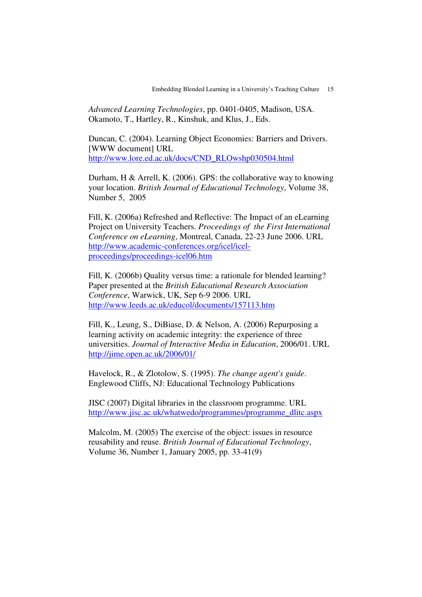*Advanced Learning Technologies*, pp. 0401-0405, Madison, USA. Okamoto, T., Hartley, R., Kinshuk, and Klus, J., Eds.

Duncan, C. (2004). Learning Object Economies: Barriers and Drivers. [WWW document] URL http://www.lore.ed.ac.uk/docs/CND\_RLOwshp030504.html

Durham, H & Arrell, K. (2006). GPS: the collaborative way to knowing your location. *British Journal of Educational Technology*, Volume 38, Number 5, 2005

Fill, K. (2006a) Refreshed and Reflective: The Impact of an eLearning Project on University Teachers. *Proceedings of the First International Conference on eLearning*, Montreal, Canada, 22-23 June 2006. URL http://www.academic-conferences.org/icel/icelproceedings/proceedings-icel06.htm

Fill, K. (2006b) Quality versus time: a rationale for blended learning? Paper presented at the *British Educational Research Association Conference*, Warwick, UK, Sep 6-9 2006. URL http://www.leeds.ac.uk/educol/documents/157113.htm

Fill, K., Leung, S., DiBiase, D. & Nelson, A. (2006) Repurposing a learning activity on academic integrity: the experience of three universities. *Journal of Interactive Media in Education*, 2006/01. URL http://jime.open.ac.uk/2006/01/

Havelock, R., & Zlotolow, S. (1995). *The change agent's guide*. Englewood Cliffs, NJ: Educational Technology Publications

JISC (2007) Digital libraries in the classroom programme. URL http://www.jisc.ac.uk/whatwedo/programmes/programme\_dlitc.aspx

Malcolm, M. (2005) The exercise of the object: issues in resource reusability and reuse. *British Journal of Educational Technology*, Volume 36, Number 1, January 2005, pp. 33-41(9)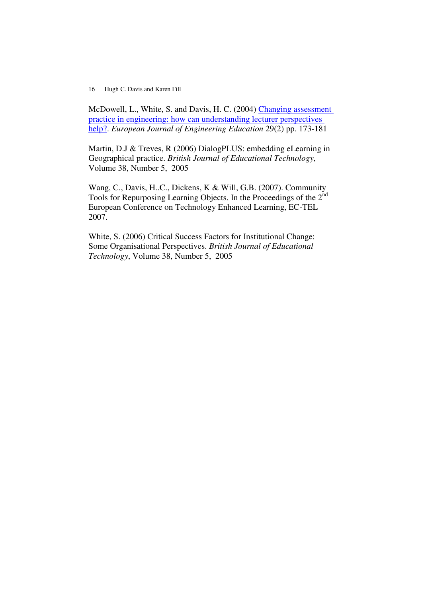McDowell, L., White, S. and Davis, H. C. (2004) Changing assessment practice in engineering: how can understanding lecturer perspectives help?. *European Journal of Engineering Education* 29(2) pp. 173-181

Martin, D.J & Treves, R (2006) DialogPLUS: embedding eLearning in Geographical practice. *British Journal of Educational Technology*, Volume 38, Number 5, 2005

Wang, C., Davis, H..C., Dickens, K & Will, G.B. (2007). Community Tools for Repurposing Learning Objects. In the Proceedings of the 2nd European Conference on Technology Enhanced Learning, EC-TEL 2007.

White, S. (2006) Critical Success Factors for Institutional Change: Some Organisational Perspectives. *British Journal of Educational Technology*, Volume 38, Number 5, 2005